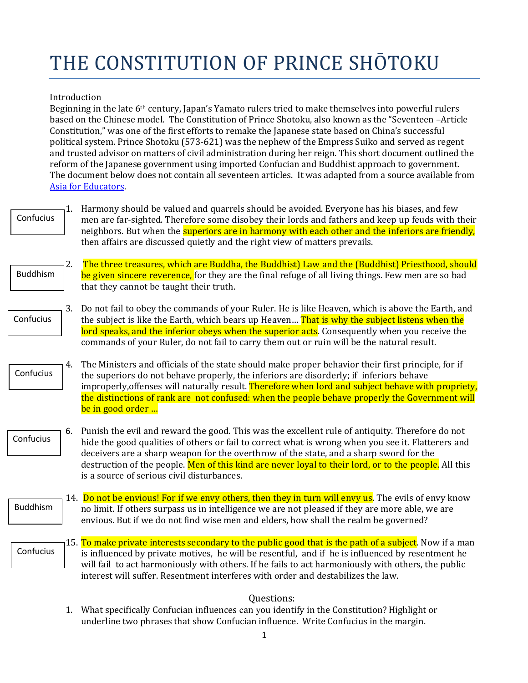## THE CONSTITUTION OF PRINCE SHOTOKU

## Introduction

Beginning in the late  $6<sup>th</sup>$  century, Japan's Yamato rulers tried to make themselves into powerful rulers based on the Chinese model. The Constitution of Prince Shotoku, also known as the "Seventeen -Article Constitution," was one of the first efforts to remake the Japanese state based on China's successful political system. Prince Shotoku (573-621) was the nephew of the Empress Suiko and served as regent and trusted advisor on matters of civil administration during her reign. This short document outlined the reform of the Japanese government using imported Confucian and Buddhist approach to government. The document below does not contain all seventeen articles. It was adapted from a source available from Asia for Educators.

Confucius

1. Harmony should be valued and quarrels should be avoided. Everyone has his biases, and few men are far-sighted. Therefore some disobey their lords and fathers and keep up feuds with their neighbors. But when the **superiors are in harmony with each other and the inferiors are friendly,** then affairs are discussed quietly and the right view of matters prevails.

- 2. The three treasures, which are Buddha, the Buddhist) Law and the (Buddhist) Priesthood, should be given sincere reverence, for they are the final refuge of all living things. Few men are so bad that they cannot be taught their truth. Buddhism
- 3. Do not fail to obey the commands of your Ruler. He is like Heaven, which is above the Earth, and the subject is like the Earth, which bears up Heaven... That is why the subject listens when the lord speaks, and the inferior obeys when the superior acts. Consequently when you receive the commands of your Ruler, do not fail to carry them out or ruin will be the natural result. Confucius
- 4. The Ministers and officials of the state should make proper behavior their first principle, for if the superiors do not behave properly, the inferiors are disorderly; if inferiors behave improperly, offenses will naturally result. Therefore when lord and subject behave with propriety, the distinctions of rank are not confused: when the people behave properly the Government will be in good order … Confucius
- 6. Punish the evil and reward the good. This was the excellent rule of antiquity. Therefore do not hide the good qualities of others or fail to correct what is wrong when you see it. Flatterers and deceivers are a sharp weapon for the overthrow of the state, and a sharp sword for the destruction of the people. Men of this kind are never loyal to their lord, or to the people. All this is a source of serious civil disturbances. Confucius
	- 14. Do not be envious! For if we envy others, then they in turn will envy us. The evils of envy know no limit. If others surpass us in intelligence we are not pleased if they are more able, we are envious. But if we do not find wise men and elders, how shall the realm be governed? Buddhism
	- 15. To make private interests secondary to the public good that is the path of a subject. Now if a man is influenced by private motives, he will be resentful, and if he is influenced by resentment he will fail to act harmoniously with others. If he fails to act harmoniously with others, the public interest will suffer. Resentment interferes with order and destabilizes the law. Confucius

## Questions:

1. What specifically Confucian influences can you identify in the Constitution? Highlight or underline two phrases that show Confucian influence. Write Confucius in the margin.